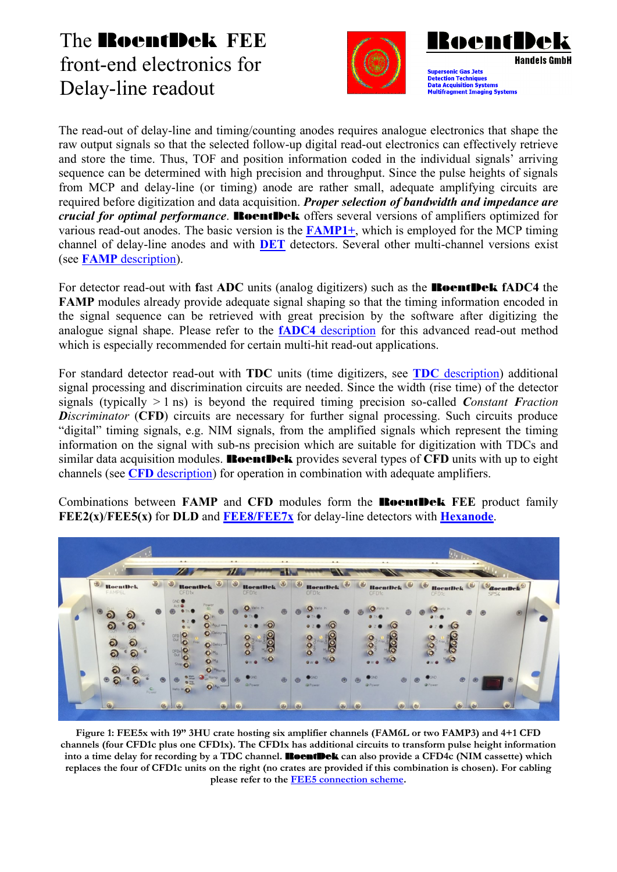## The RoentDek **FEE** front-end electronics for Delay-line readout





The read-out of delay-line and timing/counting anodes requires analogue electronics that shape the raw output signals so that the selected follow-up digital read-out electronics can effectively retrieve and store the time. Thus, TOF and position information coded in the individual signals' arriving sequence can be determined with high precision and throughput. Since the pulse heights of signals from MCP and delay-line (or timing) anode are rather small, adequate amplifying circuits are required before digitization and data acquisition. *Proper selection of bandwidth and impedance are crucial for optimal performance*. **RoentDek** offers several versions of amplifiers optimized for various read-out anodes. The basic version is the **[FAMP1+](http://www.roentdek.com/products/electronics_description/FAMP1+.PDF)**, which is employed for the MCP timing channel of delay-line anodes and with **[DET](http://www.roentdek.com/info/DET40/)** detectors. Several other multi-channel versions exist (see **FAMP** [description\)](http://www.roentdek.com/products/electronics_description/FAMP8c_description.pdf).

For detector read-out with **f**ast **ADC** units (analog digitizers) such as the RoentDek **fADC4** the **FAMP** modules already provide adequate signal shaping so that the timing information encoded in the signal sequence can be retrieved with great precision by the software after digitizing the analogue signal shape. Please refer to the **fADC4** [description](http://www.roentdek.com/products/electronics_description/fADC4%20%20description.pdf) for this advanced read-out method which is especially recommended for certain multi-hit read-out applications.

For standard detector read-out with **TDC** units (time digitizers, see **TDC** [description\)](http://www.roentdek.com/products/electronics_description/TDC8HP%20description.pdf) additional signal processing and discrimination circuits are needed. Since the width (rise time) of the detector signals (typically > 1 ns) is beyond the required timing precision so-called *Constant Fraction Discriminator* (CFD) circuits are necessary for further signal processing. Such circuits produce "digital" timing signals, e.g. NIM signals, from the amplified signals which represent the timing information on the signal with sub-ns precision which are suitable for digitization with TDCs and similar data acquisition modules. **RoentDek** provides several types of CFD units with up to eight channels (see **CFD** [description\)](http://www.roentdek.com/produchts/electronics_description/CFDc_description.pdf) for operation in combination with adequate amplifiers.

Combinations between **FAMP** and **CFD** modules form the RoentDek **FEE** product family **FEE2(x)**/**FEE5(x)** for **DLD** and **[FEE8/FEE7x](http://www.roentdek.com/info/connection_schemes/FT16%20FEE8%20TDC8HP%20connection%20scheme.pdf)** for delay-line detectors with **[Hexanode](http://www.roentdek.com/info/RoentDek_HEX_description.pdf)**.



**Figure 1: FEE5x with 19" 3HU crate hosting six amplifier channels (FAM6L or two FAMP3) and 4+1 CFD channels (four CFD1c plus one CFD1x). The CFD1x has additional circuits to transform pulse height information into a time delay for recording by a TDC channel.** RoentDek **can also provide a CFD4c (NIM cassette) which replaces the four of CFD1c units on the right (no crates are provided if this combination is chosen). For cabling please refer to th[e FEE5 connection scheme.](http://www.roentdek.com/info/connection_schemes/FT12%20FEE5%20TDC8HP%20connection%20scheme.pdf)**